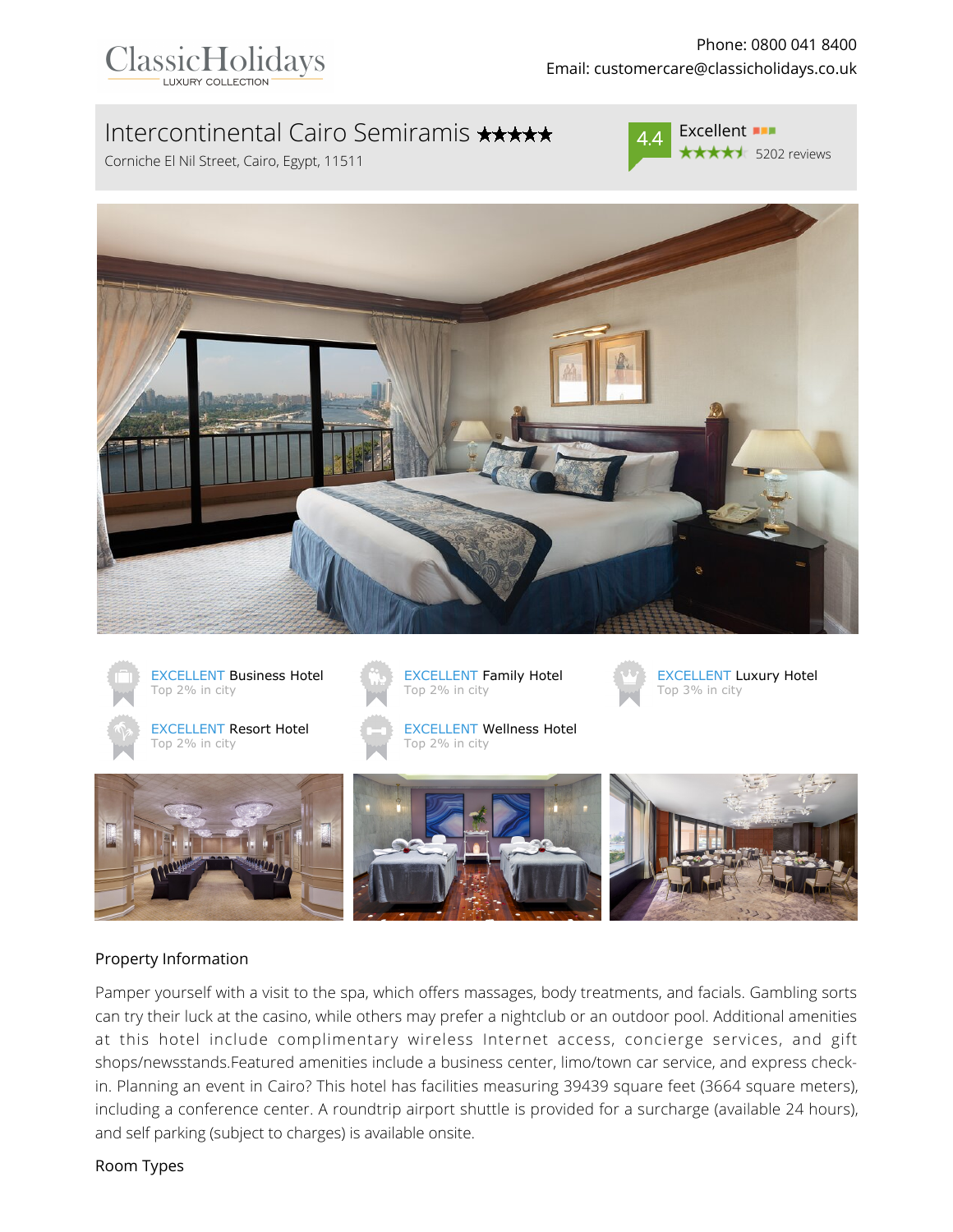

# Intercontinental Cairo Semiramis \*\*\*\*\*

Corniche El Nil Street, Cairo, Egypt, 11511



**★★★★**★ 5202 reviews





#### Property Information

Pamper yourself with a visit to the spa, which offers massages, body treatments, and facials. Gambling sorts can try their luck at the casino, while others may prefer a nightclub or an outdoor pool. Additional amenities at this hotel include complimentary wireless Internet access, concierge services, and gift shops/newsstands.Featured amenities include a business center, limo/town car service, and express checkin. Planning an event in Cairo? This hotel has facilities measuring 39439 square feet (3664 square meters), including a conference center. A roundtrip airport shuttle is provided for a surcharge (available 24 hours), and self parking (subject to charges) is available onsite.

Room Types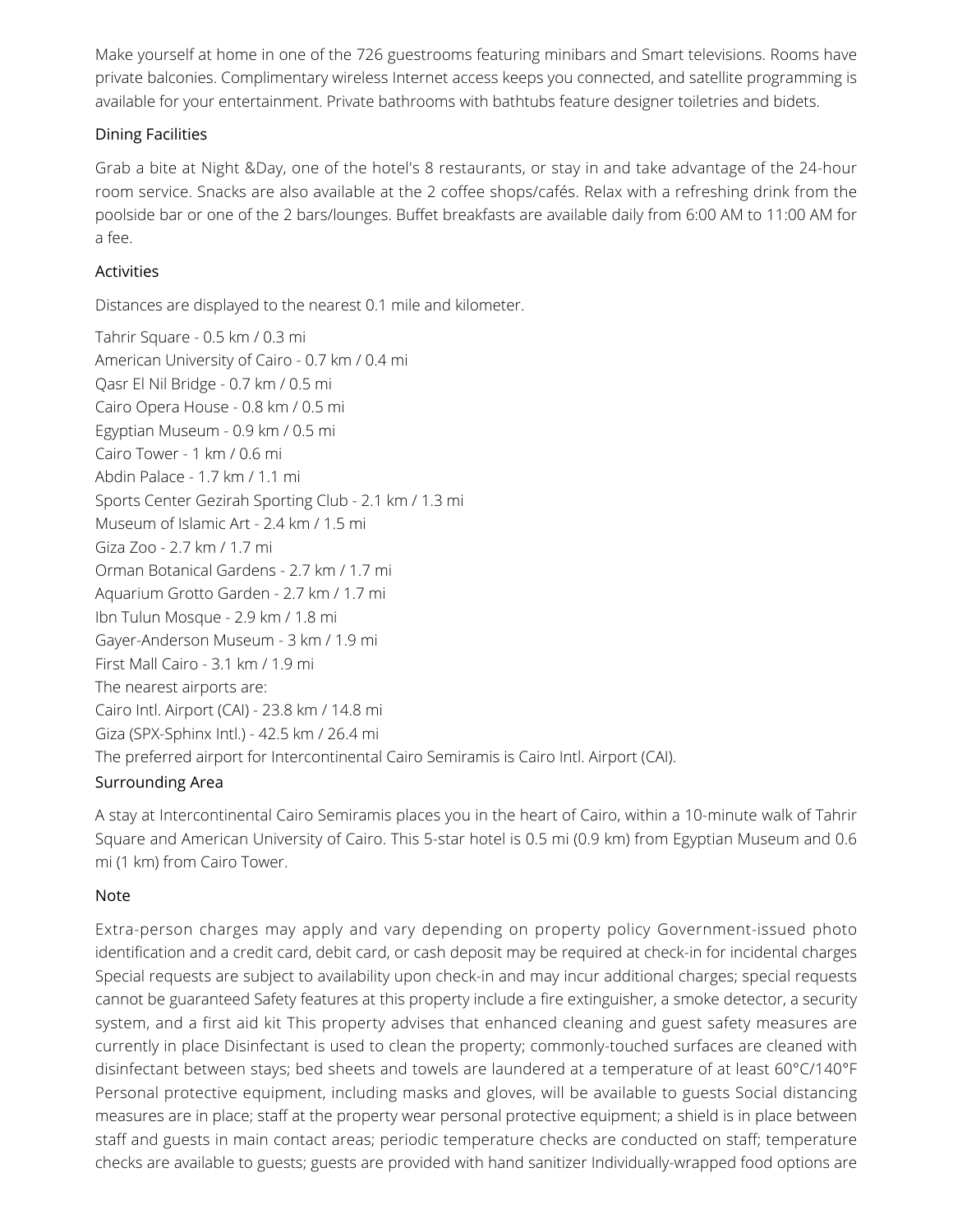Make yourself at home in one of the 726 guestrooms featuring minibars and Smart televisions. Rooms have private balconies. Complimentary wireless Internet access keeps you connected, and satellite programming is available for your entertainment. Private bathrooms with bathtubs feature designer toiletries and bidets.

### Dining Facilities

Grab a bite at Night &Day, one of the hotel's 8 restaurants, or stay in and take advantage of the 24-hour room service. Snacks are also available at the 2 coffee shops/cafés. Relax with a refreshing drink from the poolside bar or one of the 2 bars/lounges. Buffet breakfasts are available daily from 6:00 AM to 11:00 AM for a fee.

### Activities

Distances are displayed to the nearest 0.1 mile and kilometer.

Tahrir Square - 0.5 km / 0.3 mi American University of Cairo - 0.7 km / 0.4 mi Qasr El Nil Bridge - 0.7 km / 0.5 mi Cairo Opera House - 0.8 km / 0.5 mi Egyptian Museum - 0.9 km / 0.5 mi Cairo Tower - 1 km / 0.6 mi Abdin Palace - 1.7 km / 1.1 mi Sports Center Gezirah Sporting Club - 2.1 km / 1.3 mi Museum of Islamic Art - 2.4 km / 1.5 mi Giza Zoo - 2.7 km / 1.7 mi Orman Botanical Gardens - 2.7 km / 1.7 mi Aquarium Grotto Garden - 2.7 km / 1.7 mi Ibn Tulun Mosque - 2.9 km / 1.8 mi Gayer-Anderson Museum - 3 km / 1.9 mi First Mall Cairo - 3.1 km / 1.9 mi The nearest airports are: Cairo Intl. Airport (CAI) - 23.8 km / 14.8 mi Giza (SPX-Sphinx Intl.) - 42.5 km / 26.4 mi The preferred airport for Intercontinental Cairo Semiramis is Cairo Intl. Airport (CAI).

# Surrounding Area

A stay at Intercontinental Cairo Semiramis places you in the heart of Cairo, within a 10-minute walk of Tahrir Square and American University of Cairo. This 5-star hotel is 0.5 mi (0.9 km) from Egyptian Museum and 0.6 mi (1 km) from Cairo Tower.

# Note

Extra-person charges may apply and vary depending on property policy Government-issued photo identification and a credit card, debit card, or cash deposit may be required at check-in for incidental charges Special requests are subject to availability upon check-in and may incur additional charges; special requests cannot be guaranteed Safety features at this property include a fire extinguisher, a smoke detector, a security system, and a first aid kit This property advises that enhanced cleaning and guest safety measures are currently in place Disinfectant is used to clean the property; commonly-touched surfaces are cleaned with disinfectant between stays; bed sheets and towels are laundered at a temperature of at least 60°C/140°F Personal protective equipment, including masks and gloves, will be available to guests Social distancing measures are in place; staff at the property wear personal protective equipment; a shield is in place between staff and guests in main contact areas; periodic temperature checks are conducted on staff; temperature checks are available to guests; guests are provided with hand sanitizer Individually-wrapped food options are